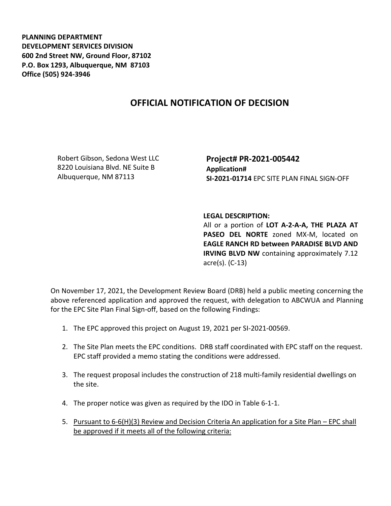**PLANNING DEPARTMENT DEVELOPMENT SERVICES DIVISION 600 2nd Street NW, Ground Floor, 87102 P.O. Box 1293, Albuquerque, NM 87103 Office (505) 924-3946** 

## **OFFICIAL NOTIFICATION OF DECISION**

Robert Gibson, Sedona West LLC 8220 Louisiana Blvd. NE Suite B Albuquerque, NM 87113

**Project# PR-2021-005442 Application# SI-2021-01714** EPC SITE PLAN FINAL SIGN-OFF

## **LEGAL DESCRIPTION:**

All or a portion of **LOT A-2-A-A, THE PLAZA AT PASEO DEL NORTE** zoned MX-M, located on **EAGLE RANCH RD between PARADISE BLVD AND IRVING BLVD NW** containing approximately 7.12 acre(s). (C-13)

On November 17, 2021, the Development Review Board (DRB) held a public meeting concerning the above referenced application and approved the request, with delegation to ABCWUA and Planning for the EPC Site Plan Final Sign-off, based on the following Findings:

- 1. The EPC approved this project on August 19, 2021 per SI-2021-00569.
- 2. The Site Plan meets the EPC conditions. DRB staff coordinated with EPC staff on the request. EPC staff provided a memo stating the conditions were addressed.
- 3. The request proposal includes the construction of 218 multi-family residential dwellings on the site.
- 4. The proper notice was given as required by the IDO in Table 6-1-1.
- 5. Pursuant to 6-6(H)(3) Review and Decision Criteria An application for a Site Plan EPC shall be approved if it meets all of the following criteria: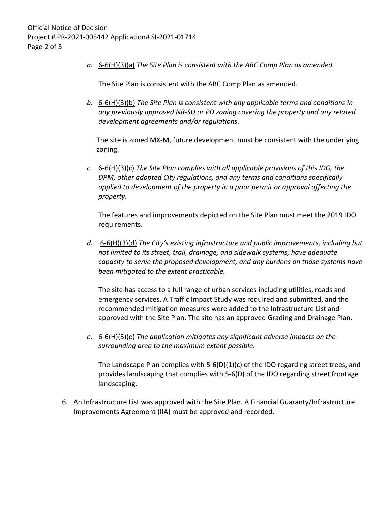*a.* 6-6(H)(3)(a) *The Site Plan is consistent with the ABC Comp Plan as amended.*

The Site Plan is consistent with the ABC Comp Plan as amended.

*b.* 6-6(H)(3)(b) *The Site Plan is consistent with any applicable terms and conditions in any previously approved NR-SU or PD zoning covering the property and any related development agreements and/or regulations.* 

The site is zoned MX-M, future development must be consistent with the underlying zoning.

*c.* 6-6(H)(3)(c) *The Site Plan complies with all applicable provisions of this IDO, the DPM, other adopted City regulations, and any terms and conditions specifically applied to development of the property in a prior permit or approval affecting the property.* 

The features and improvements depicted on the Site Plan must meet the 2019 IDO requirements.

*d.* 6-6(H)(3)(d) *The City's existing infrastructure and public improvements, including but not limited to its street, trail, drainage, and sidewalk systems, have adequate capacity to serve the proposed development, and any burdens on those systems have been mitigated to the extent practicable.* 

The site has access to a full range of urban services including utilities, roads and emergency services. A Traffic Impact Study was required and submitted, and the recommended mitigation measures were added to the Infrastructure List and approved with the Site Plan. The site has an approved Grading and Drainage Plan.

*e.* 6-6(H)(3)(e) *The application mitigates any significant adverse impacts on the surrounding area to the maximum extent possible.* 

The Landscape Plan complies with  $5-6(D)(1)(c)$  of the IDO regarding street trees, and provides landscaping that complies with 5-6(D) of the IDO regarding street frontage landscaping.

6. An Infrastructure List was approved with the Site Plan. A Financial Guaranty/Infrastructure Improvements Agreement (IIA) must be approved and recorded.